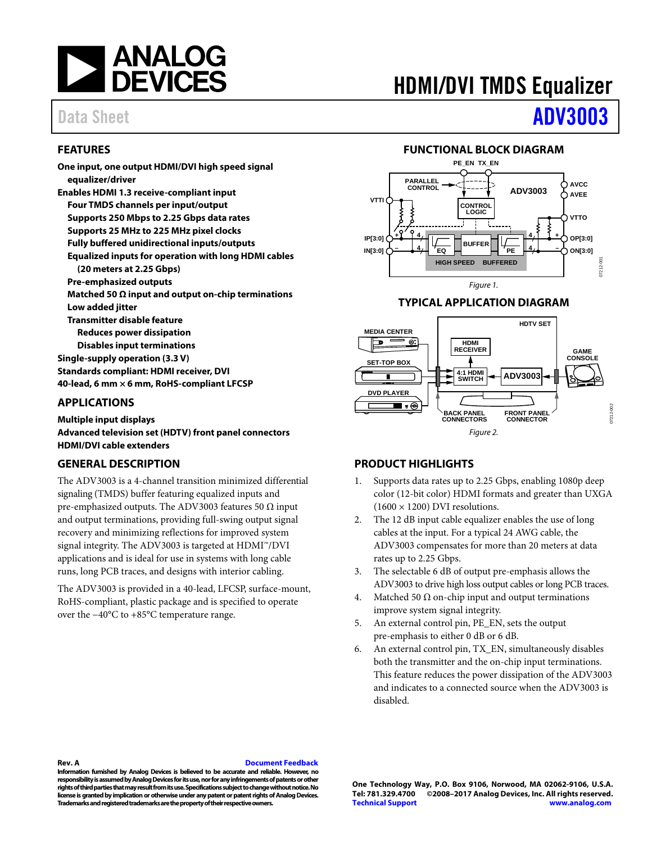

#### <span id="page-0-0"></span>**FEATURES**

**One input, one output HDMI/DVI high speed signal equalizer/driver Enables HDMI 1.3 receive-compliant input Four TMDS channels per input/output Supports 250 Mbps to 2.25 Gbps data rates Supports 25 MHz to 225 MHz pixel clocks Fully buffered unidirectional inputs/outputs Equalized inputs for operation with long HDMI cables (20 meters at 2.25 Gbps) Pre-emphasized outputs Matched 50 Ω input and output on-chip terminations Low added jitter Transmitter disable feature Reduces power dissipation Disables input terminations Single-supply operation (3.3 V) Standards compliant: HDMI receiver, DVI 40-lead, 6 mm × 6 mm, RoHS-compliant LFCSP** 

#### <span id="page-0-1"></span>**APPLICATIONS**

**Multiple input displays Advanced television set (HDTV) front panel connectors HDMI/DVI cable extenders** 

#### <span id="page-0-4"></span>**GENERAL DESCRIPTION**

The ADV3003 is a 4-channel transition minimized differential signaling (TMDS) buffer featuring equalized inputs and pre-emphasized outputs. The ADV3003 features 50  $\Omega$  input and output terminations, providing full-swing output signal recovery and minimizing reflections for improved system signal integrity. The ADV3003 is targeted at HDMI™/DVI applications and is ideal for use in systems with long cable runs, long PCB traces, and designs with interior cabling.

<span id="page-0-5"></span>The ADV3003 is provided in a 40-lead, LFCSP, surface-mount, RoHS-compliant, plastic package and is specified to operate over the −40°C to +85°C temperature range.

# HDMI/DVI TMDS Equalizer

# Data Sheet **[ADV3003](http://www.analog.com/ADV3003?doc=ADV3003.pdf)**

#### **FUNCTIONAL BLOCK DIAGRAM**

<span id="page-0-2"></span>

#### **TYPICAL APPLICATION DIAGRAM**

<span id="page-0-3"></span>

#### **PRODUCT HIGHLIGHTS**

- 1. Supports data rates up to 2.25 Gbps, enabling 1080p deep color (12-bit color) HDMI formats and greater than UXGA  $(1600 \times 1200)$  DVI resolutions.
- 2. The 12 dB input cable equalizer enables the use of long cables at the input. For a typical 24 AWG cable, the ADV3003 compensates for more than 20 meters at data rates up to 2.25 Gbps.
- 3. The selectable 6 dB of output pre-emphasis allows the ADV3003 to drive high loss output cables or long PCB traces.
- 4. Matched 50  $\Omega$  on-chip input and output terminations improve system signal integrity.
- 5. An external control pin, PE\_EN, sets the output pre-emphasis to either 0 dB or 6 dB.
- 6. An external control pin, TX\_EN, simultaneously disables both the transmitter and the on-chip input terminations. This feature reduces the power dissipation of the ADV3003 and indicates to a connected source when the ADV3003 is disabled.

#### **Rev. A [Document Feedback](https://form.analog.com/Form_Pages/feedback/documentfeedback.aspx?doc=ADV3003.pdf&product=ADV3003&rev=A)**

**Information furnished by Analog Devices is believed to be accurate and reliable. However, no responsibility is assumed by Analog Devices for its use, nor for any infringements of patents or other rights of third parties that may result from its use. Specifications subject to change without notice. No license is granted by implication or otherwise under any patent or patent rights of Analog Devices. Trademarks and registered trademarks are the property of their respective owners.** 

**One Technology Way, P.O. Box 9106, Norwood, MA 02062-9106, U.S.A. Tel: 781.329.4700 ©2008–2017 Analog Devices, Inc. All rights reserved. [Technical Support](http://www.analog.com/en/content/technical_support_page/fca.html) [www.analog.com](http://www.analog.com/)**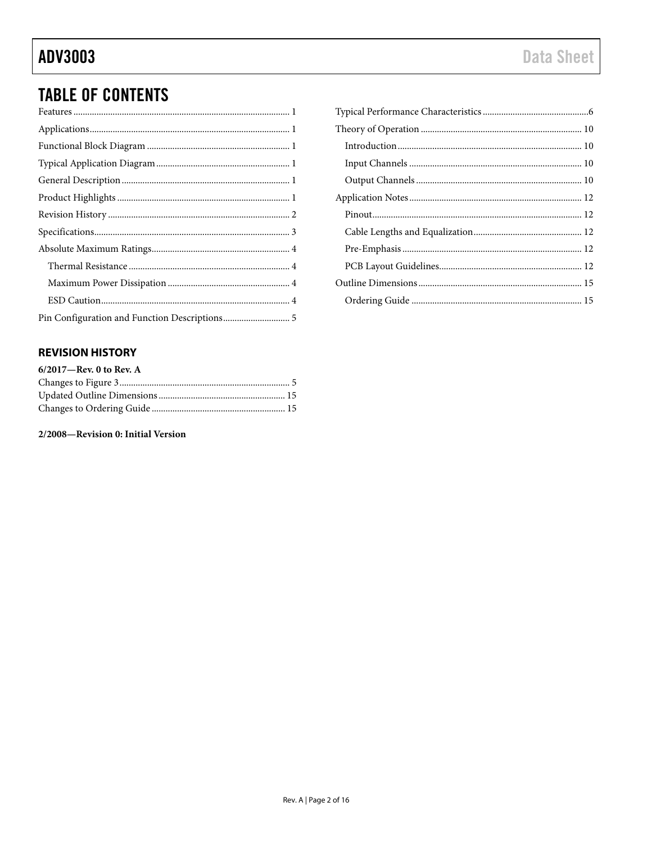## **TABLE OF CONTENTS**

### <span id="page-1-0"></span>**REVISION HISTORY**

| 6/2017-Rev. 0 to Rev. A |  |
|-------------------------|--|
|                         |  |
|                         |  |
|                         |  |

2/2008-Revision 0: Initial Version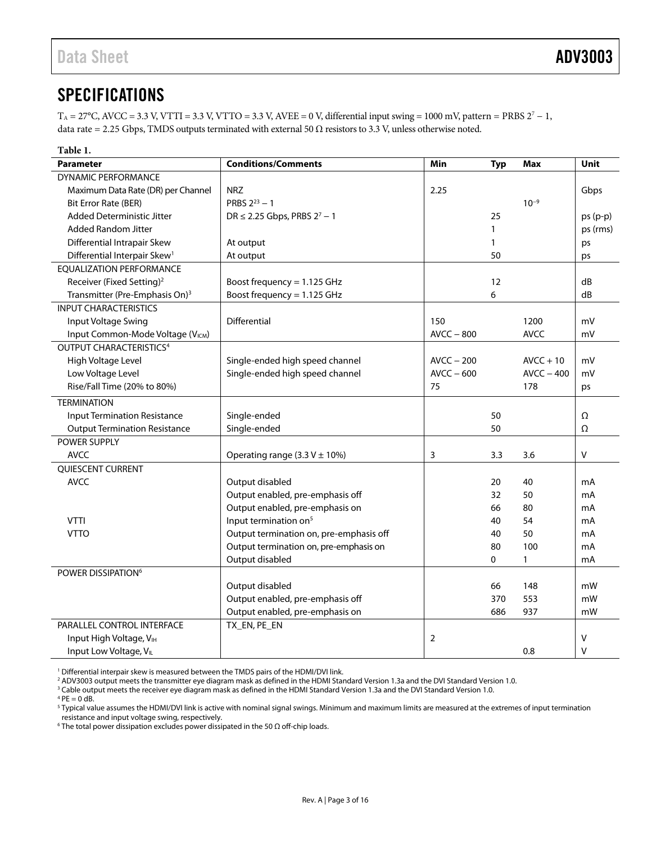## <span id="page-2-0"></span>**SPECIFICATIONS**

 $T_A = 27^{\circ}$ C, AVCC = 3.3 V, VTTI = 3.3 V, VTTO = 3.3 V, AVEE = 0 V, differential input swing = 1000 mV, pattern = PRBS 2<sup>7</sup> - 1, data rate = 2.25 Gbps, TMDS outputs terminated with external 50  $\Omega$  resistors to 3.3 V, unless otherwise noted.

<span id="page-2-1"></span>

| Table 1.                                      |                                         |                |            |              |           |
|-----------------------------------------------|-----------------------------------------|----------------|------------|--------------|-----------|
| <b>Parameter</b>                              | <b>Conditions/Comments</b>              | Min            | <b>Typ</b> | Max          | Unit      |
| <b>DYNAMIC PERFORMANCE</b>                    |                                         |                |            |              |           |
| Maximum Data Rate (DR) per Channel            | <b>NRZ</b>                              | 2.25           |            |              | Gbps      |
| Bit Error Rate (BER)                          | PRBS $2^{23} - 1$                       |                |            | $10^{-9}$    |           |
| <b>Added Deterministic Jitter</b>             | $DR \le 2.25$ Gbps, PRBS $2^7 - 1$      |                | 25         |              | $ps(p-p)$ |
| <b>Added Random Jitter</b>                    |                                         |                | 1          |              | ps (rms)  |
| Differential Intrapair Skew                   | At output                               |                | 1          |              | ps        |
| Differential Interpair Skew <sup>1</sup>      | At output                               |                | 50         |              | ps        |
| <b>EQUALIZATION PERFORMANCE</b>               |                                         |                |            |              |           |
| Receiver (Fixed Setting) <sup>2</sup>         | Boost frequency = 1.125 GHz             |                | 12         |              | dB        |
| Transmitter (Pre-Emphasis On) <sup>3</sup>    | Boost frequency = 1.125 GHz             |                | 6          |              | dB        |
| <b>INPUT CHARACTERISTICS</b>                  |                                         |                |            |              |           |
| Input Voltage Swing                           | Differential                            | 150            |            | 1200         | mV        |
| Input Common-Mode Voltage (V <sub>ICM</sub> ) |                                         | $AVCC - 800$   |            | <b>AVCC</b>  | mV        |
| <b>OUTPUT CHARACTERISTICS4</b>                |                                         |                |            |              |           |
| High Voltage Level                            | Single-ended high speed channel         | $AVCC - 200$   |            | $AVCC + 10$  | mV        |
| Low Voltage Level                             | Single-ended high speed channel         | $AVCC - 600$   |            | $AVCC - 400$ | mV        |
| Rise/Fall Time (20% to 80%)                   |                                         | 75             |            | 178          | ps        |
| <b>TERMINATION</b>                            |                                         |                |            |              |           |
| <b>Input Termination Resistance</b>           | Single-ended                            |                | 50         |              | Ω         |
| <b>Output Termination Resistance</b>          | Single-ended                            |                | 50         |              | Ω         |
| POWER SUPPLY                                  |                                         |                |            |              |           |
| <b>AVCC</b>                                   | Operating range $(3.3 V \pm 10\%)$      | 3              | 3.3        | 3.6          | V         |
| <b>OUIESCENT CURRENT</b>                      |                                         |                |            |              |           |
| <b>AVCC</b>                                   | Output disabled                         |                | 20         | 40           | mA        |
|                                               | Output enabled, pre-emphasis off        |                | 32         | 50           | mA        |
|                                               | Output enabled, pre-emphasis on         |                | 66         | 80           | mA        |
| <b>VTTI</b>                                   | Input termination on <sup>5</sup>       |                | 40         | 54           | mA        |
| <b>VTTO</b>                                   | Output termination on, pre-emphasis off |                | 40         | 50           | mA        |
|                                               | Output termination on, pre-emphasis on  |                | 80         | 100          | mA        |
|                                               | Output disabled                         |                | 0          | $\mathbf{1}$ | mA        |
| POWER DISSIPATION <sup>6</sup>                |                                         |                |            |              |           |
|                                               | Output disabled                         |                | 66         | 148          | mW        |
|                                               | Output enabled, pre-emphasis off        |                | 370        | 553          | mW        |
|                                               | Output enabled, pre-emphasis on         |                | 686        | 937          | mW        |
| PARALLEL CONTROL INTERFACE                    | TX_EN, PE_EN                            |                |            |              |           |
| Input High Voltage, VIH                       |                                         | $\overline{2}$ |            |              | V         |
| Input Low Voltage, VL                         |                                         |                |            | 0.8          | $\vee$    |

<sup>1</sup> Differential interpair skew is measured between the TMDS pairs of the HDMI/DVI link.

<sup>2</sup> ADV3003 output meets the transmitter eye diagram mask as defined in the HDMI Standard Version 1.3a and the DVI Standard Version 1.0.<br><sup>3</sup> Cable output meets the receiver eve diagram mask as defined in the HDMI Standard

<sup>3</sup> Cable output meets the receiver eye diagram mask as defined in the HDMI Standard Version 1.3a and the DVI Standard Version 1.0.

 $4$  PE = 0 dB.

 $^5$  Typical value assumes the HDMI/DVI link is active with nominal signal swings. Minimum and maximum limits are measured at the extremes of input termination

resistance and input voltage swing, respectively. 6 The total power dissipation excludes power dissipated in the 50 Ω off-chip loads.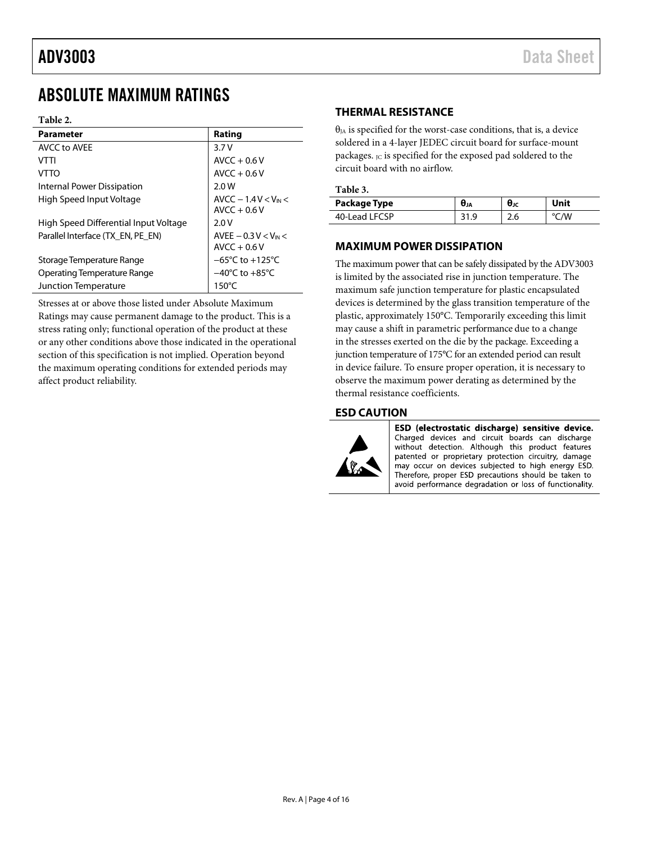## <span id="page-3-0"></span>ABSOLUTE MAXIMUM RATINGS

#### **Table 2.**

| <b>Parameter</b>                      | Rating                                   |
|---------------------------------------|------------------------------------------|
| AVCC to AVFF                          | 3.7V                                     |
| VTTI                                  | $AVCC + 0.6V$                            |
| VTTO                                  | $AVCC + 0.6V$                            |
| Internal Power Dissipation            | 2.0W                                     |
| High Speed Input Voltage              | $AVCC - 1.4 V < V_{IN}$<br>$AVCC + 0.6V$ |
| High Speed Differential Input Voltage | 2.0V                                     |
| Parallel Interface (TX EN, PE EN)     | AVEE $-0.3 V < V_{IN}$<br>$AVCC + 0.6V$  |
| Storage Temperature Range             | $-65^{\circ}$ C to $+125^{\circ}$ C      |
| <b>Operating Temperature Range</b>    | $-40^{\circ}$ C to $+85^{\circ}$ C       |
| Junction Temperature                  | $150^{\circ}$ C                          |

Stresses at or above those listed under Absolute Maximum Ratings may cause permanent damage to the product. This is a stress rating only; functional operation of the product at these or any other conditions above those indicated in the operational section of this specification is not implied. Operation beyond the maximum operating conditions for extended periods may affect product reliability.

#### <span id="page-3-1"></span>**THERMAL RESISTANCE**

 $\theta_{JA}$  is specified for the worst-case conditions, that is, a device soldered in a 4-layer JEDEC circuit board for surface-mount packages. Jc is specified for the exposed pad soldered to the circuit board with no airflow.

| Package Type  | Uја | θк  | Unit |
|---------------|-----|-----|------|
| 40-Lead LFCSP |     | 2.6 | 'W   |

### <span id="page-3-2"></span>**MAXIMUM POWER DISSIPATION**

The maximum power that can be safely dissipated by the ADV3003 is limited by the associated rise in junction temperature. The maximum safe junction temperature for plastic encapsulated devices is determined by the glass transition temperature of the plastic, approximately 150°C. Temporarily exceeding this limit may cause a shift in parametric performance due to a change in the stresses exerted on the die by the package. Exceeding a junction temperature of 175°C for an extended period can result in device failure. To ensure proper operation, it is necessary to observe the maximum power derating as determined by the thermal resistance coefficients.

#### <span id="page-3-3"></span>**ESD CAUTION**



ESD (electrostatic discharge) sensitive device. Charged devices and circuit boards can discharge without detection. Although this product features patented or proprietary protection circuitry, damage may occur on devices subjected to high energy ESD. Therefore, proper ESD precautions should be taken to avoid performance degradation or loss of functionality.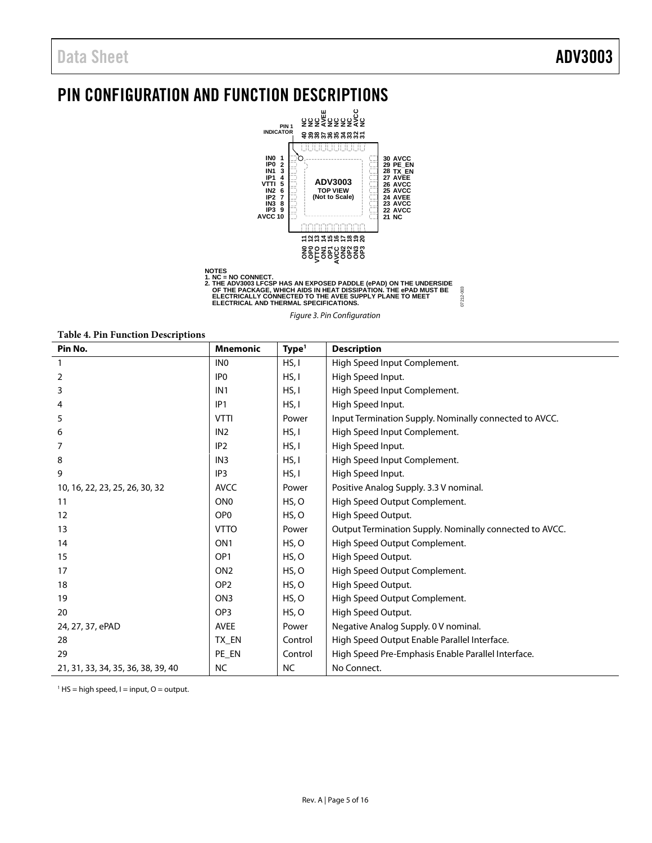## <span id="page-4-0"></span>PIN CONFIGURATION AND FUNCTION DESCRIPTIONS



NOTES<br>1. NC = NO CONNECT.<br>2. THE ADV3003 LFCSP HAS AN EXPOSED PADDLE (ePAD) ON THE UNDERSIDE<br>2. THE PACKAGE, WHICH AIDS IN HEAT DISSIPATION. THE ePAD MUST BE<br>ELECTRICALLY CONNECTED TO THE AVEE SUPPLY PLANE TO MEET<br>ELECTRIC 07212-003

07212-003

Figure 3. Pin Configuration

**Table 4. Pin Function Descriptions** 

| Pin No.                            | <b>Mnemonic</b> | Type <sup>1</sup> | <b>Description</b>                                      |
|------------------------------------|-----------------|-------------------|---------------------------------------------------------|
| $\mathbf{1}$                       | IN <sub>0</sub> | HS, I             | High Speed Input Complement.                            |
| 2                                  | IP <sub>0</sub> | HS, I             | High Speed Input.                                       |
| 3                                  | IN <sub>1</sub> | HS, I             | High Speed Input Complement.                            |
| 4                                  | IP <sub>1</sub> | HS, I             | High Speed Input.                                       |
| 5                                  | <b>VTTI</b>     | Power             | Input Termination Supply. Nominally connected to AVCC.  |
| 6                                  | IN <sub>2</sub> | HS, I             | High Speed Input Complement.                            |
| 7                                  | IP <sub>2</sub> | HS, I             | High Speed Input.                                       |
| 8                                  | IN <sub>3</sub> | HS, I             | High Speed Input Complement.                            |
| 9                                  | IP <sub>3</sub> | HS, I             | High Speed Input.                                       |
| 10, 16, 22, 23, 25, 26, 30, 32     | <b>AVCC</b>     | Power             | Positive Analog Supply. 3.3 V nominal.                  |
| 11                                 | ON <sub>0</sub> | HS, O             | High Speed Output Complement.                           |
| 12                                 | OP <sub>0</sub> | HS, O             | High Speed Output.                                      |
| 13                                 | <b>VTTO</b>     | Power             | Output Termination Supply. Nominally connected to AVCC. |
| 14                                 | ON <sub>1</sub> | HS, O             | High Speed Output Complement.                           |
| 15                                 | OP <sub>1</sub> | HS, O             | High Speed Output.                                      |
| 17                                 | ON <sub>2</sub> | HS, O             | High Speed Output Complement.                           |
| 18                                 | OP <sub>2</sub> | HS, O             | High Speed Output.                                      |
| 19                                 | ON <sub>3</sub> | HS, O             | High Speed Output Complement.                           |
| 20                                 | OP <sub>3</sub> | HS, O             | High Speed Output.                                      |
| 24, 27, 37, ePAD                   | <b>AVEE</b>     | Power             | Negative Analog Supply. 0 V nominal.                    |
| 28                                 | TX_EN           | Control           | High Speed Output Enable Parallel Interface.            |
| 29                                 | PE_EN           | Control           | High Speed Pre-Emphasis Enable Parallel Interface.      |
| 21, 31, 33, 34, 35, 36, 38, 39, 40 | <b>NC</b>       | <b>NC</b>         | No Connect.                                             |

 $<sup>1</sup>$  HS = high speed, I = input, O = output.</sup>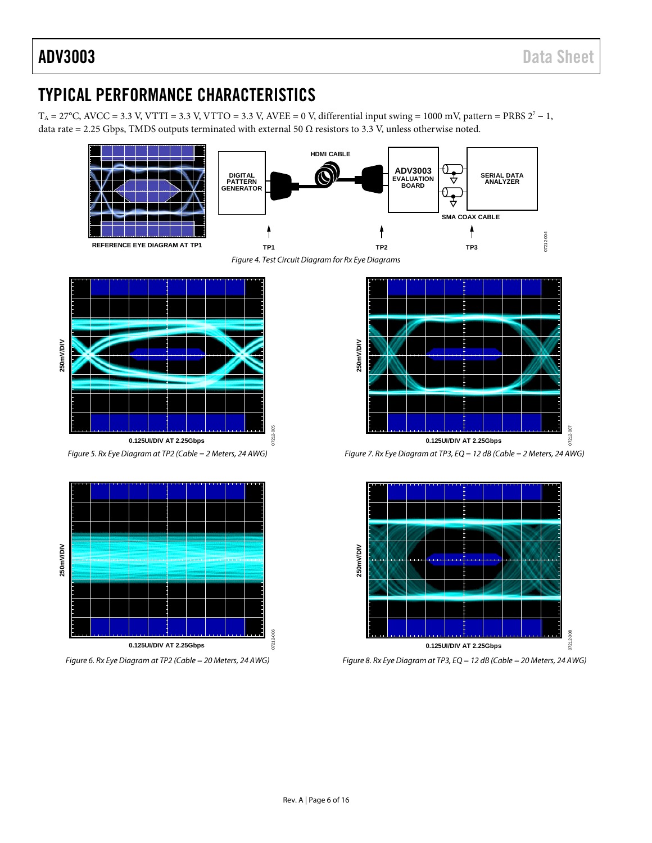## <span id="page-5-0"></span>TYPICAL PERFORMANCE CHARACTERISTICS

 $T_A = 27^{\circ}$ C, AVCC = 3.3 V, VTTI = 3.3 V, VTTO = 3.3 V, AVEE = 0 V, differential input swing = 1000 mV, pattern = PRBS  $2^7 - 1$ , data rate = 2.25 Gbps, TMDS outputs terminated with external 50  $\Omega$  resistors to 3.3 V, unless otherwise noted.





07212-005

 $1721$ 

 $rac{6}{5}$ 

<span id="page-5-1"></span>

Figure 5. Rx Eye Diagram at TP2 (Cable = 2 Meters, 24 AWG)



Figure 6. Rx Eye Diagram at TP2 (Cable = 20 Meters, 24 AWG)



Figure 7. Rx Eye Diagram at TP3, EQ = 12 dB (Cable = 2 Meters, 24 AWG)



Figure 8. Rx Eye Diagram at TP3, EQ = 12 dB (Cable = 20 Meters, 24 AWG)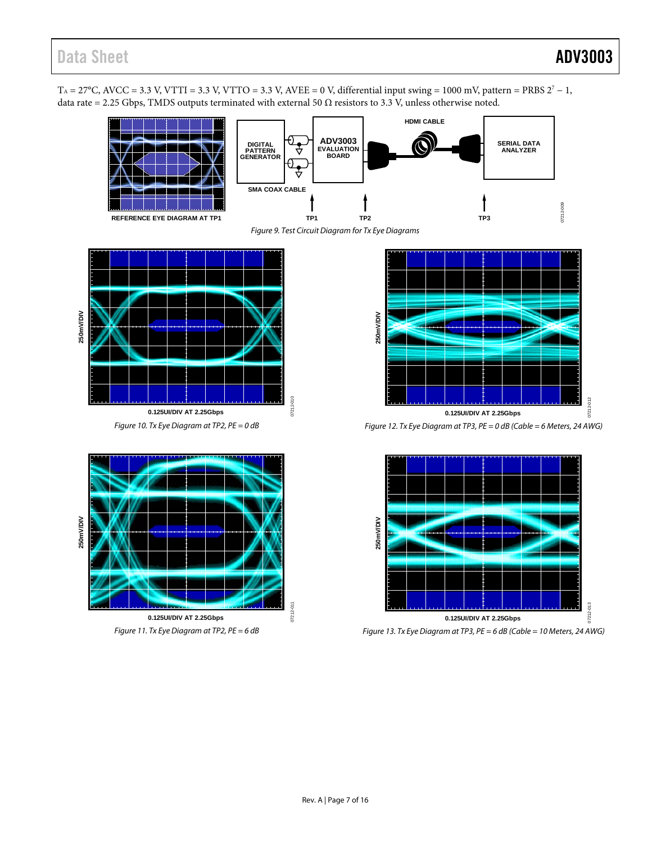$T_A = 27^{\circ}$ C, AVCC = 3.3 V, VTTI = 3.3 V, VTTO = 3.3 V, AVEE = 0 V, differential input swing = 1000 mV, pattern = PRBS  $2^7 - 1$ , data rate = 2.25 Gbps, TMDS outputs terminated with external 50  $\Omega$  resistors to 3.3 V, unless otherwise noted.





07212-010

<span id="page-6-0"></span>

Figure 10. Tx Eye Diagram at TP2, PE = 0 dB







Figure 12. Tx Eye Diagram at TP3, PE = 0 dB (Cable = 6 Meters, 24 AWG)



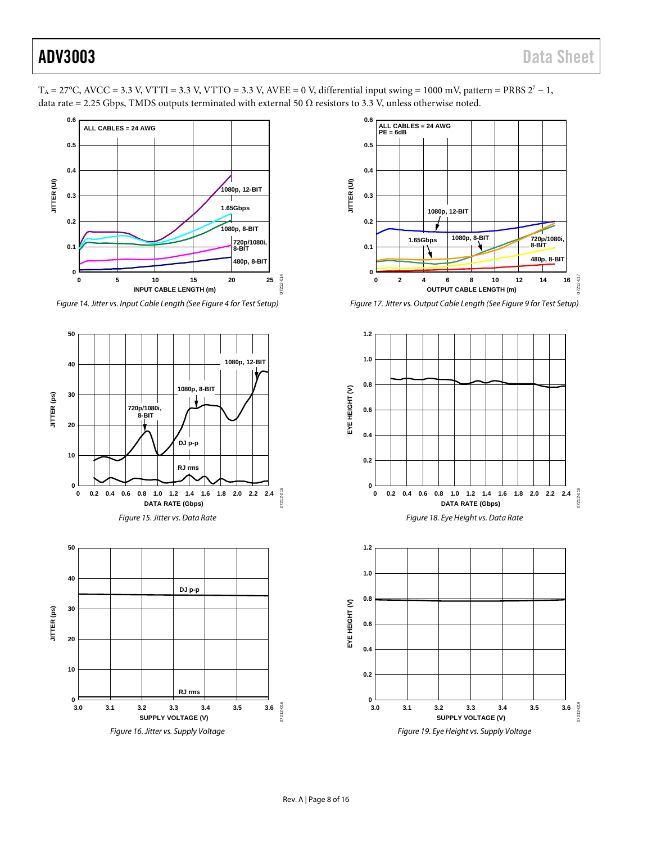

 $T_A = 27^{\circ}$ C, AVCC = 3.3 V, VTTI = 3.3 V, VTTO = 3.3 V, AVEE = 0 V, differential input swing = 1000 mV, pattern = PRBS  $2^{\circ}$  - 1,

data rate = 2.25 Gbps, TMDS outputs terminated with external 50  $\Omega$  resistors to 3.3 V, unless otherwise noted.

*Figure 14.Jitter vs. Input Cable Length (Se[e Figure 4](#page-5-1) for Test Setup)*





*Figure 17. Jitter vs. Output Cable Length (Se[e Figure 9](#page-6-0) for Test Setup)*

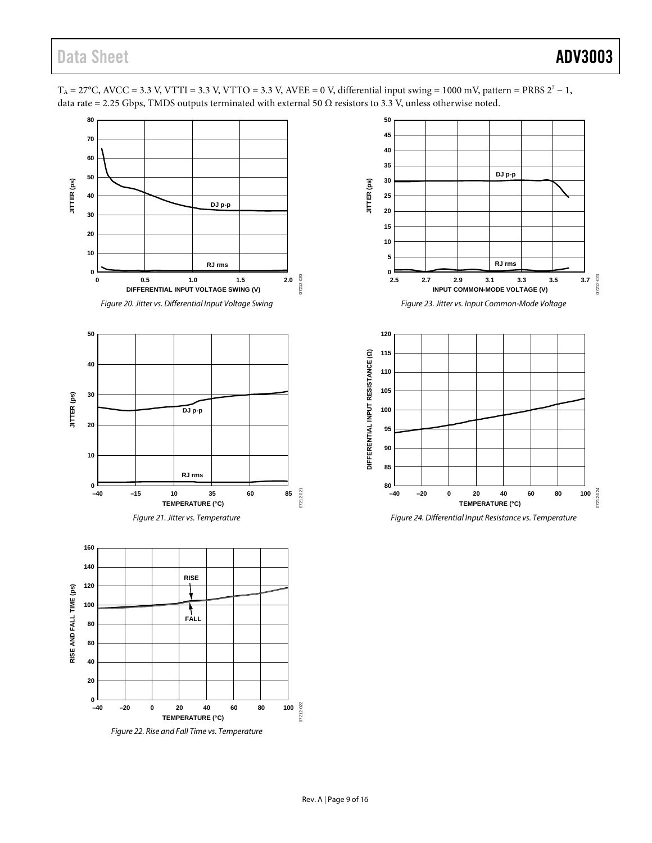

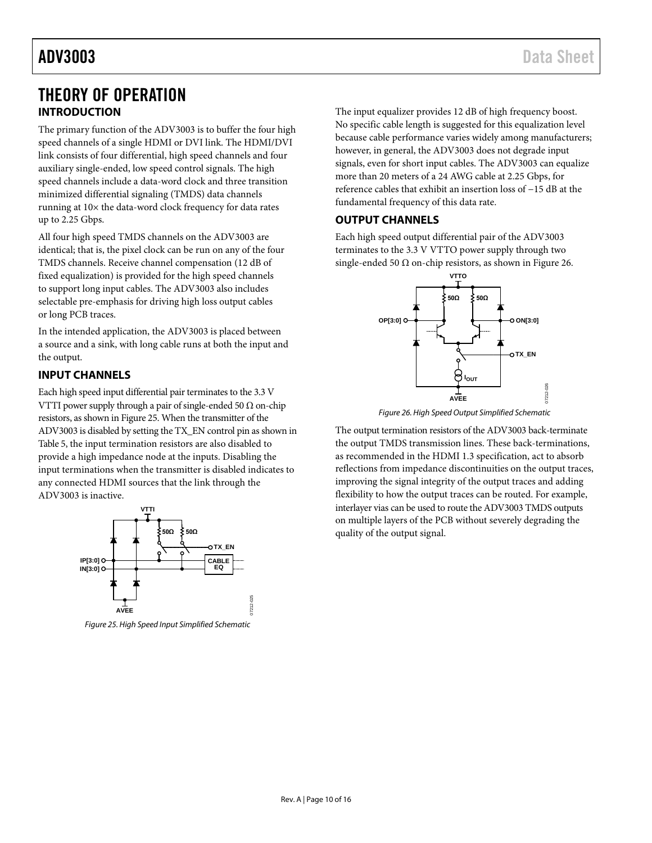## <span id="page-9-0"></span>THEORY OF OPERATION **INTRODUCTION**

<span id="page-9-1"></span>The primary function of the ADV3003 is to buffer the four high speed channels of a single HDMI or DVI link. The HDMI/DVI link consists of four differential, high speed channels and four auxiliary single-ended, low speed control signals. The high speed channels include a data-word clock and three transition minimized differential signaling (TMDS) data channels running at 10× the data-word clock frequency for data rates up to 2.25 Gbps.

All four high speed TMDS channels on the ADV3003 are identical; that is, the pixel clock can be run on any of the four TMDS channels. Receive channel compensation (12 dB of fixed equalization) is provided for the high speed channels to support long input cables. The ADV3003 also includes selectable pre-emphasis for driving high loss output cables or long PCB traces.

In the intended application, the ADV3003 is placed between a source and a sink, with long cable runs at both the input and the output.

### <span id="page-9-2"></span>**INPUT CHANNELS**

Each high speed input differential pair terminates to the 3.3 V VTTI power supply through a pair of single-ended 50  $\Omega$  on-chip resistors, as shown in [Figure 25.](#page-9-4) When the transmitter of the ADV3003 is disabled by setting the TX\_EN control pin as shown in [Table 5,](#page-10-0) the input termination resistors are also disabled to provide a high impedance node at the inputs. Disabling the input terminations when the transmitter is disabled indicates to any connected HDMI sources that the link through the ADV3003 is inactive.



<span id="page-9-4"></span>*Figure 25. High Speed Input Simplified Schematic*

<span id="page-9-3"></span>The input equalizer provides 12 dB of high frequency boost. No specific cable length is suggested for this equalization level because cable performance varies widely among manufacturers; however, in general, the ADV3003 does not degrade input signals, even for short input cables. The ADV3003 can equalize more than 20 meters of a 24 AWG cable at 2.25 Gbps, for reference cables that exhibit an insertion loss of −15 dB at the fundamental frequency of this data rate.

### **OUTPUT CHANNELS**

Each high speed output differential pair of the ADV3003 terminates to the 3.3 V VTTO power supply through two single-ended 50  $\Omega$  on-chip resistors, as shown in [Figure 26.](#page-9-5)



*Figure 26. High Speed Output Simplified Schematic*

<span id="page-9-5"></span>The output termination resistors of the ADV3003 back-terminate the output TMDS transmission lines. These back-terminations, as recommended in the HDMI 1.3 specification, act to absorb reflections from impedance discontinuities on the output traces, improving the signal integrity of the output traces and adding flexibility to how the output traces can be routed. For example, interlayer vias can be used to route the ADV3003 TMDS outputs on multiple layers of the PCB without severely degrading the quality of the output signal.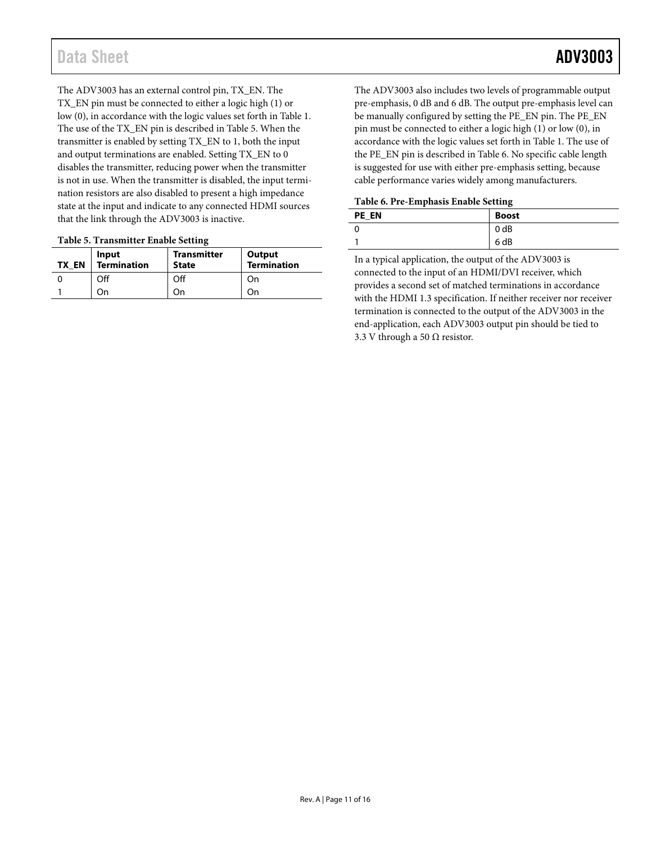The ADV3003 has an external control pin, TX\_EN. The TX\_EN pin must be connected to either a logic high (1) or low (0), in accordance with the logic values set forth in [Table](#page-2-1) 1. The use of the TX\_EN pin is described in [Table 5.](#page-10-0) When the transmitter is enabled by setting TX\_EN to 1, both the input and output terminations are enabled. Setting TX\_EN to 0 disables the transmitter, reducing power when the transmitter is not in use. When the transmitter is disabled, the input termination resistors are also disabled to present a high impedance state at the input and indicate to any connected HDMI sources that the link through the ADV3003 is inactive.

#### <span id="page-10-0"></span>**Table 5. Transmitter Enable Setting**

| <b>TX EN</b> | Input<br>Termination | <b>Transmitter</b><br><b>State</b> | Output<br><b>Termination</b> |
|--------------|----------------------|------------------------------------|------------------------------|
|              | Off                  | Off                                | On                           |
|              | ∶)n                  |                                    | On                           |

The ADV3003 also includes two levels of programmable output pre-emphasis, 0 dB and 6 dB. The output pre-emphasis level can be manually configured by setting the PE\_EN pin. The PE\_EN pin must be connected to either a logic high (1) or low (0), in accordance with the logic values set forth in [Table](#page-2-1) 1. The use of the PE\_EN pin is described in [Table 6.](#page-10-1) No specific cable length is suggested for use with either pre-emphasis setting, because cable performance varies widely among manufacturers.

#### <span id="page-10-1"></span>**Table 6. Pre-Emphasis Enable Setting**

| <b>PE EN</b> | <b>Boost</b>     |
|--------------|------------------|
|              | 0 <sub>d</sub> B |
|              | 6 dB             |

In a typical application, the output of the ADV3003 is connected to the input of an HDMI/DVI receiver, which provides a second set of matched terminations in accordance with the HDMI 1.3 specification. If neither receiver nor receiver termination is connected to the output of the ADV3003 in the end-application, each ADV3003 output pin should be tied to 3.3 V through a 50  $\Omega$  resistor.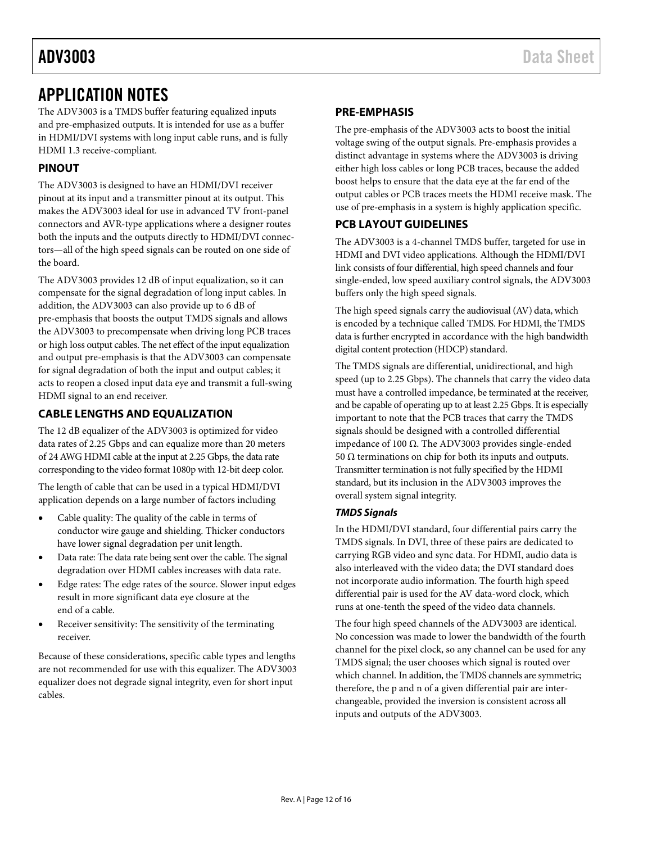## <span id="page-11-0"></span>APPLICATION NOTES

The ADV3003 is a TMDS buffer featuring equalized inputs and pre-emphasized outputs. It is intended for use as a buffer in HDMI/DVI systems with long input cable runs, and is fully HDMI 1.3 receive-compliant.

### <span id="page-11-1"></span>**PINOUT**

The ADV3003 is designed to have an HDMI/DVI receiver pinout at its input and a transmitter pinout at its output. This makes the ADV3003 ideal for use in advanced TV front-panel connectors and AVR-type applications where a designer routes both the inputs and the outputs directly to HDMI/DVI connectors—all of the high speed signals can be routed on one side of the board.

The ADV3003 provides 12 dB of input equalization, so it can compensate for the signal degradation of long input cables. In addition, the ADV3003 can also provide up to 6 dB of pre-emphasis that boosts the output TMDS signals and allows the ADV3003 to precompensate when driving long PCB traces or high loss output cables. The net effect of the input equalization and output pre-emphasis is that the ADV3003 can compensate for signal degradation of both the input and output cables; it acts to reopen a closed input data eye and transmit a full-swing HDMI signal to an end receiver.

### <span id="page-11-2"></span>**CABLE LENGTHS AND EQUALIZATION**

The 12 dB equalizer of the ADV3003 is optimized for video data rates of 2.25 Gbps and can equalize more than 20 meters of 24 AWG HDMI cable at the input at 2.25 Gbps, the data rate corresponding to the video format 1080p with 12-bit deep color.

The length of cable that can be used in a typical HDMI/DVI application depends on a large number of factors including

- Cable quality: The quality of the cable in terms of conductor wire gauge and shielding. Thicker conductors have lower signal degradation per unit length.
- Data rate: The data rate being sent over the cable. The signal degradation over HDMI cables increases with data rate.
- Edge rates: The edge rates of the source. Slower input edges result in more significant data eye closure at the end of a cable.
- Receiver sensitivity: The sensitivity of the terminating receiver.

<span id="page-11-3"></span>Because of these considerations, specific cable types and lengths are not recommended for use with this equalizer. The ADV3003 equalizer does not degrade signal integrity, even for short input cables.

#### **PRE-EMPHASIS**

The pre-emphasis of the ADV3003 acts to boost the initial voltage swing of the output signals. Pre-emphasis provides a distinct advantage in systems where the ADV3003 is driving either high loss cables or long PCB traces, because the added boost helps to ensure that the data eye at the far end of the output cables or PCB traces meets the HDMI receive mask. The use of pre-emphasis in a system is highly application specific.

### <span id="page-11-4"></span>**PCB LAYOUT GUIDELINES**

The ADV3003 is a 4-channel TMDS buffer, targeted for use in HDMI and DVI video applications. Although the HDMI/DVI link consists of four differential, high speed channels and four single-ended, low speed auxiliary control signals, the ADV3003 buffers only the high speed signals.

The high speed signals carry the audiovisual (AV) data, which is encoded by a technique called TMDS. For HDMI, the TMDS data is further encrypted in accordance with the high bandwidth digital content protection (HDCP) standard.

The TMDS signals are differential, unidirectional, and high speed (up to 2.25 Gbps). The channels that carry the video data must have a controlled impedance, be terminated at the receiver, and be capable of operating up to at least 2.25 Gbps. It is especially important to note that the PCB traces that carry the TMDS signals should be designed with a controlled differential impedance of 100 Ω. The ADV3003 provides single-ended 50  $Ω$  terminations on chip for both its inputs and outputs. Transmitter termination is not fully specified by the HDMI standard, but its inclusion in the ADV3003 improves the overall system signal integrity.

#### *TMDS Signals*

In the HDMI/DVI standard, four differential pairs carry the TMDS signals. In DVI, three of these pairs are dedicated to carrying RGB video and sync data. For HDMI, audio data is also interleaved with the video data; the DVI standard does not incorporate audio information. The fourth high speed differential pair is used for the AV data-word clock, which runs at one-tenth the speed of the video data channels.

The four high speed channels of the ADV3003 are identical. No concession was made to lower the bandwidth of the fourth channel for the pixel clock, so any channel can be used for any TMDS signal; the user chooses which signal is routed over which channel. In addition, the TMDS channels are symmetric; therefore, the p and n of a given differential pair are interchangeable, provided the inversion is consistent across all inputs and outputs of the ADV3003.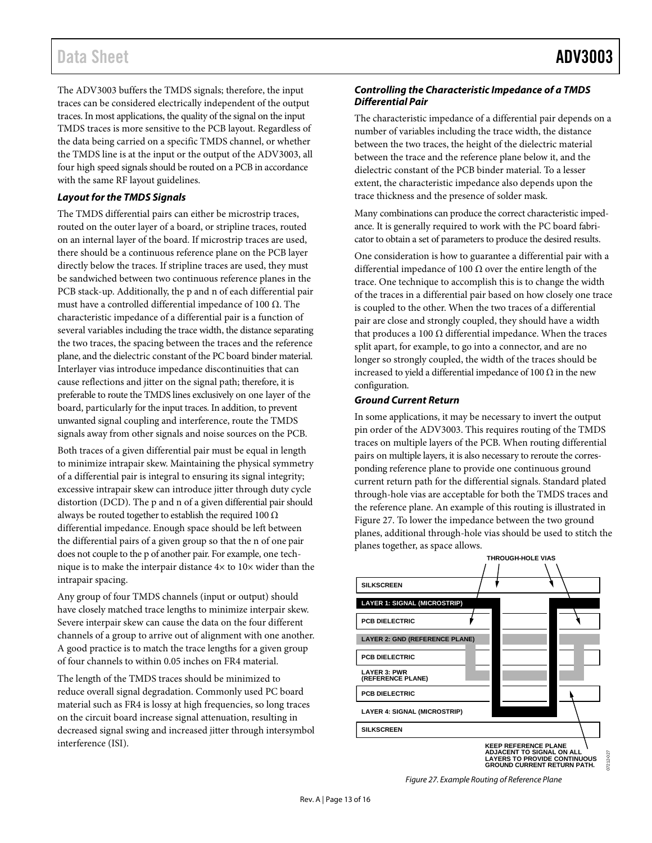## Data Sheet **ADV3003**

The ADV3003 buffers the TMDS signals; therefore, the input traces can be considered electrically independent of the output traces. In most applications, the quality of the signal on the input TMDS traces is more sensitive to the PCB layout. Regardless of the data being carried on a specific TMDS channel, or whether the TMDS line is at the input or the output of the ADV3003, all four high speed signals should be routed on a PCB in accordance with the same RF layout guidelines.

#### *Layout for the TMDS Signals*

The TMDS differential pairs can either be microstrip traces, routed on the outer layer of a board, or stripline traces, routed on an internal layer of the board. If microstrip traces are used, there should be a continuous reference plane on the PCB layer directly below the traces. If stripline traces are used, they must be sandwiched between two continuous reference planes in the PCB stack-up. Additionally, the p and n of each differential pair must have a controlled differential impedance of 100  $Ω$ . The characteristic impedance of a differential pair is a function of several variables including the trace width, the distance separating the two traces, the spacing between the traces and the reference plane, and the dielectric constant of the PC board binder material. Interlayer vias introduce impedance discontinuities that can cause reflections and jitter on the signal path; therefore, it is preferable to route the TMDS lines exclusively on one layer of the board, particularly for the input traces. In addition, to prevent unwanted signal coupling and interference, route the TMDS signals away from other signals and noise sources on the PCB.

Both traces of a given differential pair must be equal in length to minimize intrapair skew. Maintaining the physical symmetry of a differential pair is integral to ensuring its signal integrity; excessive intrapair skew can introduce jitter through duty cycle distortion (DCD). The p and n of a given differential pair should always be routed together to establish the required 100  $\Omega$ differential impedance. Enough space should be left between the differential pairs of a given group so that the n of one pair does not couple to the p of another pair. For example, one technique is to make the interpair distance 4× to 10× wider than the intrapair spacing.

Any group of four TMDS channels (input or output) should have closely matched trace lengths to minimize interpair skew. Severe interpair skew can cause the data on the four different channels of a group to arrive out of alignment with one another. A good practice is to match the trace lengths for a given group of four channels to within 0.05 inches on FR4 material.

The length of the TMDS traces should be minimized to reduce overall signal degradation. Commonly used PC board material such as FR4 is lossy at high frequencies, so long traces on the circuit board increase signal attenuation, resulting in decreased signal swing and increased jitter through intersymbol interference (ISI).

#### *Controlling the Characteristic Impedance of a TMDS Differential Pair*

The characteristic impedance of a differential pair depends on a number of variables including the trace width, the distance between the two traces, the height of the dielectric material between the trace and the reference plane below it, and the dielectric constant of the PCB binder material. To a lesser extent, the characteristic impedance also depends upon the trace thickness and the presence of solder mask.

Many combinations can produce the correct characteristic impedance. It is generally required to work with the PC board fabricator to obtain a set of parameters to produce the desired results.

One consideration is how to guarantee a differential pair with a differential impedance of 100  $\Omega$  over the entire length of the trace. One technique to accomplish this is to change the width of the traces in a differential pair based on how closely one trace is coupled to the other. When the two traces of a differential pair are close and strongly coupled, they should have a width that produces a 100  $Ω$  differential impedance. When the traces split apart, for example, to go into a connector, and are no longer so strongly coupled, the width of the traces should be increased to yield a differential impedance of 100  $\Omega$  in the new configuration.

#### *Ground Current Return*

In some applications, it may be necessary to invert the output pin order of the ADV3003. This requires routing of the TMDS traces on multiple layers of the PCB. When routing differential pairs on multiple layers, it is also necessary to reroute the corresponding reference plane to provide one continuous ground current return path for the differential signals. Standard plated through-hole vias are acceptable for both the TMDS traces and the reference plane. An example of this routing is illustrated in [Figure 27.](#page-12-0) To lower the impedance between the two ground planes, additional through-hole vias should be used to stitch the planes together, as space allows.



**KEEP REFERENCE PLANE ADJACENT TO SIGNAL ON ALL LAYERS TO PROVIDE CONTINUOUS GROUND CURRENT RETURN PATH.**

07212-027

<span id="page-12-0"></span>*Figure 27. Example Routing of Reference Plane*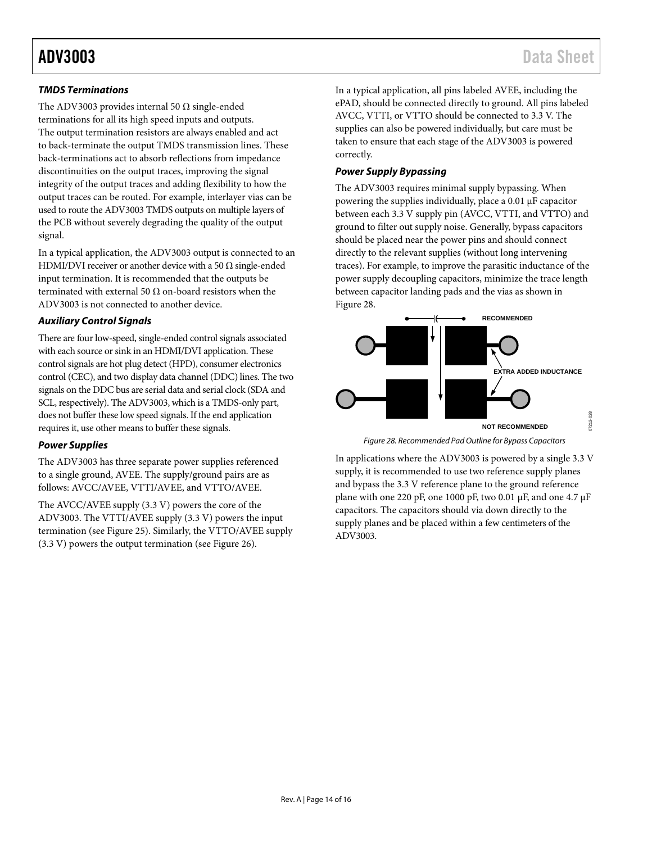#### *TMDS Terminations*

The ADV3003 provides internal 50  $\Omega$  single-ended terminations for all its high speed inputs and outputs. The output termination resistors are always enabled and act to back-terminate the output TMDS transmission lines. These back-terminations act to absorb reflections from impedance discontinuities on the output traces, improving the signal integrity of the output traces and adding flexibility to how the output traces can be routed. For example, interlayer vias can be used to route the ADV3003 TMDS outputs on multiple layers of the PCB without severely degrading the quality of the output signal.

In a typical application, the ADV3003 output is connected to an HDMI/DVI receiver or another device with a 50  $\Omega$  single-ended input termination. It is recommended that the outputs be terminated with external 50 Ω on-board resistors when the ADV3003 is not connected to another device.

#### *Auxiliary Control Signals*

There are four low-speed, single-ended control signals associated with each source or sink in an HDMI/DVI application. These control signals are hot plug detect (HPD), consumer electronics control (CEC), and two display data channel (DDC) lines. The two signals on the DDC bus are serial data and serial clock (SDA and SCL, respectively). The ADV3003, which is a TMDS-only part, does not buffer these low speed signals. If the end application requires it, use other means to buffer these signals.

#### *Power Supplies*

The ADV3003 has three separate power supplies referenced to a single ground, AVEE. The supply/ground pairs are as follows: AVCC/AVEE, VTTI/AVEE, and VTTO/AVEE.

The AVCC/AVEE supply (3.3 V) powers the core of the ADV3003. The VTTI/AVEE supply (3.3 V) powers the input termination (se[e Figure 25\)](#page-9-4). Similarly, the VTTO/AVEE supply (3.3 V) powers the output termination (se[e Figure 26\)](#page-9-5).

In a typical application, all pins labeled AVEE, including the ePAD, should be connected directly to ground. All pins labeled AVCC, VTTI, or VTTO should be connected to 3.3 V. The supplies can also be powered individually, but care must be taken to ensure that each stage of the ADV3003 is powered correctly.

#### *Power Supply Bypassing*

The ADV3003 requires minimal supply bypassing. When powering the supplies individually, place a 0.01 μF capacitor between each 3.3 V supply pin (AVCC, VTTI, and VTTO) and ground to filter out supply noise. Generally, bypass capacitors should be placed near the power pins and should connect directly to the relevant supplies (without long intervening traces). For example, to improve the parasitic inductance of the power supply decoupling capacitors, minimize the trace length between capacitor landing pads and the vias as shown in [Figure](#page-13-0) 28.



*Figure 28. Recommended Pad Outline for Bypass Capacitors* 

<span id="page-13-0"></span>In applications where the ADV3003 is powered by a single 3.3 V supply, it is recommended to use two reference supply planes and bypass the 3.3 V reference plane to the ground reference plane with one 220 pF, one 1000 pF, two 0.01  $\mu$ F, and one 4.7  $\mu$ F capacitors. The capacitors should via down directly to the supply planes and be placed within a few centimeters of the ADV3003.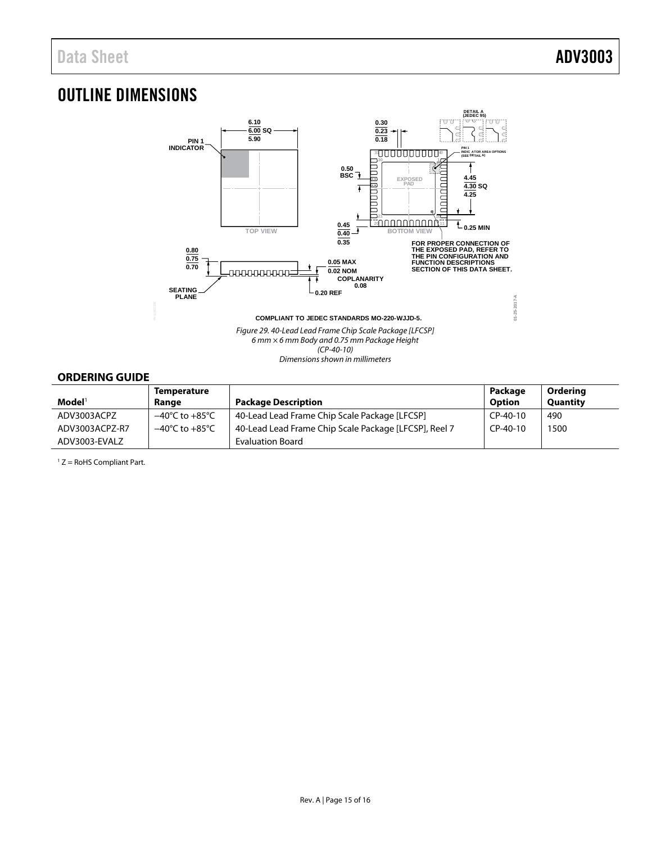## <span id="page-14-0"></span>OUTLINE DIMENSIONS



Dimensions shown in millimeters

### <span id="page-14-1"></span>**ORDERING GUIDE**

|                    | <b>Temperature</b>                 |                                                       | Package    | Ordering        |
|--------------------|------------------------------------|-------------------------------------------------------|------------|-----------------|
| $\mathbf{Model}^1$ | Range                              | <b>Package Description</b>                            | Option     | <b>Quantity</b> |
| ADV3003ACPZ        | $-40^{\circ}$ C to $+85^{\circ}$ C | 40-Lead Lead Frame Chip Scale Package [LFCSP]         | $CP-40-10$ | 490             |
| ADV3003ACPZ-R7     | $-40^{\circ}$ C to $+85^{\circ}$ C | 40-Lead Lead Frame Chip Scale Package [LFCSP], Reel 7 | $CP-40-10$ | 1500            |
| ADV3003-EVALZ      |                                    | <b>Evaluation Board</b>                               |            |                 |

1 Z = RoHS Compliant Part.